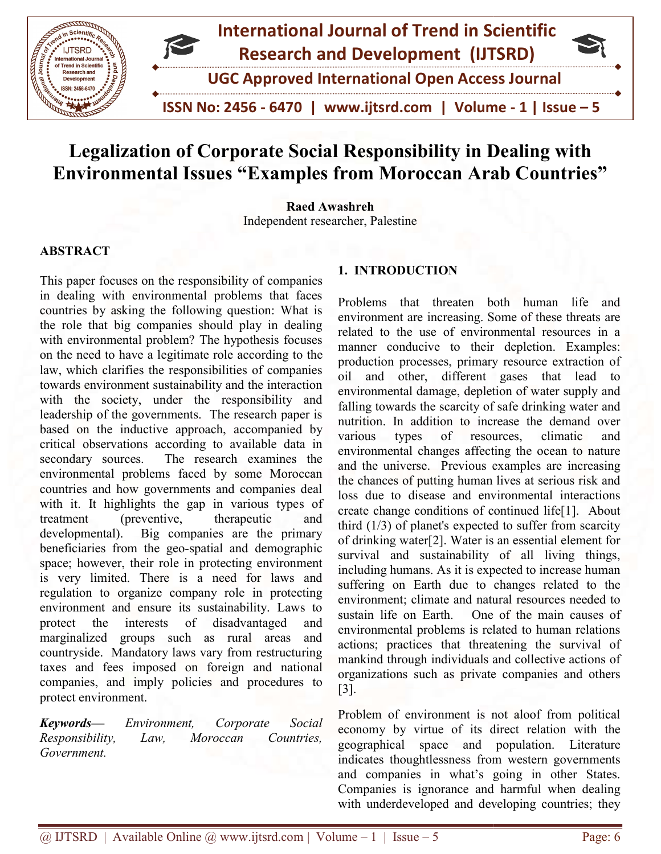

## Legalization of Corporate Social Responsibility in Dealing with Environmental Issues "Examples from Moroccan Arab Countries"

Independent researcher, Palestine Raed Awashreh

#### ABSTRACT

Independent reserved and the responsibility of companies<br>
This paper focuses on the responsibility of companies in dealing with environmental problems that faces countries by asking the following question: What is the role that big companies should play in dealing with environmental problem? The hypothesis focuses on the need to have a legitimate role according to the law, which clarifies the responsibilities of companies towards environment sustainability and the interaction with the society, under the responsibility and leadership of the governments. The research paper is based on the inductive approach, accompanied by critical observations according to available data in secondary sources. The research examines the environmental problems faced by some Moroccan countries and how governments and companies deal with it. It highlights the gap in various types of treatment (preventive, therapeutic and developmental). Big companies are the primary beneficiaries from the geo-spatial and demographic space; however, their role in protecting environment is very limited. There is a need for laws and regulation to organize company role in protecting environment and ensure its sustainability. Laws to protect the interests of disadvantaged and marginalized groups such as rural areas and countryside. Mandatory laws vary from restructuring taxes and fees imposed on foreign and national companies, and imply policies and procedures to protect environment. in dealing with environmental problems that faces countries by asking the following question: What is the role that big companies should play in dealing with environmental problem? The hypothesis focuses on the need to hav which clarifies the responsibilities of companies<br>rds environment sustainability and the interaction<br>the society, under the responsibility and<br>rship of the governments. The research paper is<br>1 on the inductive approach, ac This paper focuses on the responsibility of companies<br>
in dealing with environmental problems that faces<br>
countries by asking the following question: What is<br>
correction the role of the their different increasion where the

Keywords— Environment, Corporate Social Responsibility, Law, Moroccan Countries, Government.

Problems that threaten both human life and environment are increasing. Some of these threats are related to the use of environmental resources in a manner conducive to their depletion. Examples: production processes, primary resource extraction of oil and other, different gases that lead to environmental damage, depletion of water supply and falling towards the scarcity of safe drinking water and nutrition. In addition to increase the demand over various types of resources, climatic and environmental changes affecting the ocean to nature and the universe. Previous examples are increasing the chances of putting human lives at serious risk and loss due to disease and environmental interactions create change conditions of continued life[1]. About third  $(1/3)$  of planet's expected to suffer from scarcity of drinking water[2]. Water is an essential element for survival and sustainability of all living things, including humans. As it is expected to increase human suffering on Earth due to changes related to the environment; climate and natural resources needed to sustain life on Earth. One of the main causes of environmental problems is related to human relations actions; practices that threatening the survival of mankind through individuals and collective actions of organizations such as private companies and others [3]. Problems that threaten both human life and<br>environment are increasing. Some of these threats are<br>related to the use of environmental resources in a<br>manner conducive to their depletion. Examples:<br>production processes, prima

Problem of environment is not aloof from political economy by virtue of its direct relation with the geographical space and population. Literature indicates thoughtlessness from western governments and companies in what's going in other States. Companies is ignorance and harmful when dealing with underdeveloped and developing countries; they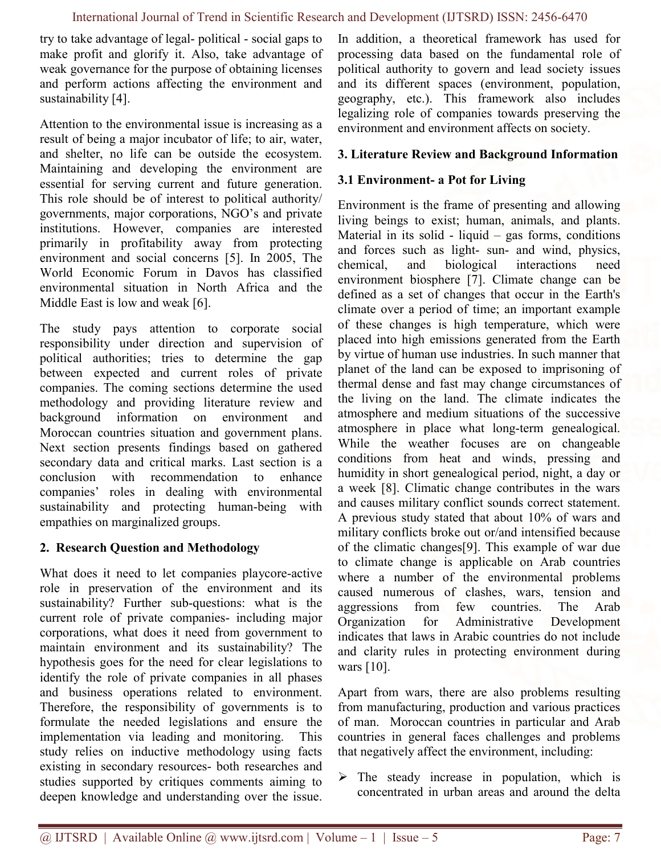try to take advantage of legal- political - social gaps to make profit and glorify it. Also, take advantage of weak governance for the purpose of obtaining licenses and perform actions affecting the environment and sustainability [4].

Attention to the environmental issue is increasing as a result of being a major incubator of life; to air, water, and shelter, no life can be outside the ecosystem. Maintaining and developing the environment are essential for serving current and future generation. This role should be of interest to political authority/ governments, major corporations, NGO's and private institutions. However, companies are interested primarily in profitability away from protecting environment and social concerns [5]. In 2005, The World Economic Forum in Davos has classified environmental situation in North Africa and the Middle East is low and weak [6].

The study pays attention to corporate social responsibility under direction and supervision of political authorities; tries to determine the gap between expected and current roles of private companies. The coming sections determine the used methodology and providing literature review and background information on environment and Moroccan countries situation and government plans. Next section presents findings based on gathered secondary data and critical marks. Last section is a conclusion with recommendation to enhance companies' roles in dealing with environmental sustainability and protecting human-being with empathies on marginalized groups.

#### 2. Research Question and Methodology

What does it need to let companies playcore-active role in preservation of the environment and its sustainability? Further sub-questions: what is the current role of private companies- including major corporations, what does it need from government to maintain environment and its sustainability? The hypothesis goes for the need for clear legislations to identify the role of private companies in all phases and business operations related to environment. Therefore, the responsibility of governments is to formulate the needed legislations and ensure the implementation via leading and monitoring. This study relies on inductive methodology using facts existing in secondary resources- both researches and studies supported by critiques comments aiming to deepen knowledge and understanding over the issue.

In addition, a theoretical framework has used for processing data based on the fundamental role of political authority to govern and lead society issues and its different spaces (environment, population, geography, etc.). This framework also includes legalizing role of companies towards preserving the environment and environment affects on society.

#### 3. Literature Review and Background Information

#### 3.1 Environment- a Pot for Living

Environment is the frame of presenting and allowing living beings to exist; human, animals, and plants. Material in its solid - liquid – gas forms, conditions and forces such as light- sun- and wind, physics, chemical, and biological interactions need environment biosphere [7]. Climate change can be defined as a set of changes that occur in the Earth's climate over a period of time; an important example of these changes is high temperature, which were placed into high emissions generated from the Earth by virtue of human use industries. In such manner that planet of the land can be exposed to imprisoning of thermal dense and fast may change circumstances of the living on the land. The climate indicates the atmosphere and medium situations of the successive atmosphere in place what long-term genealogical. While the weather focuses are on changeable conditions from heat and winds, pressing and humidity in short genealogical period, night, a day or a week [8]. Climatic change contributes in the wars and causes military conflict sounds correct statement. A previous study stated that about 10% of wars and military conflicts broke out or/and intensified because of the climatic changes[9]. This example of war due to climate change is applicable on Arab countries where a number of the environmental problems caused numerous of clashes, wars, tension and aggressions from few countries. The Arab Organization for Administrative Development indicates that laws in Arabic countries do not include and clarity rules in protecting environment during wars [10].

Apart from wars, there are also problems resulting from manufacturing, production and various practices of man. Moroccan countries in particular and Arab countries in general faces challenges and problems that negatively affect the environment, including:

 $\triangleright$  The steady increase in population, which is concentrated in urban areas and around the delta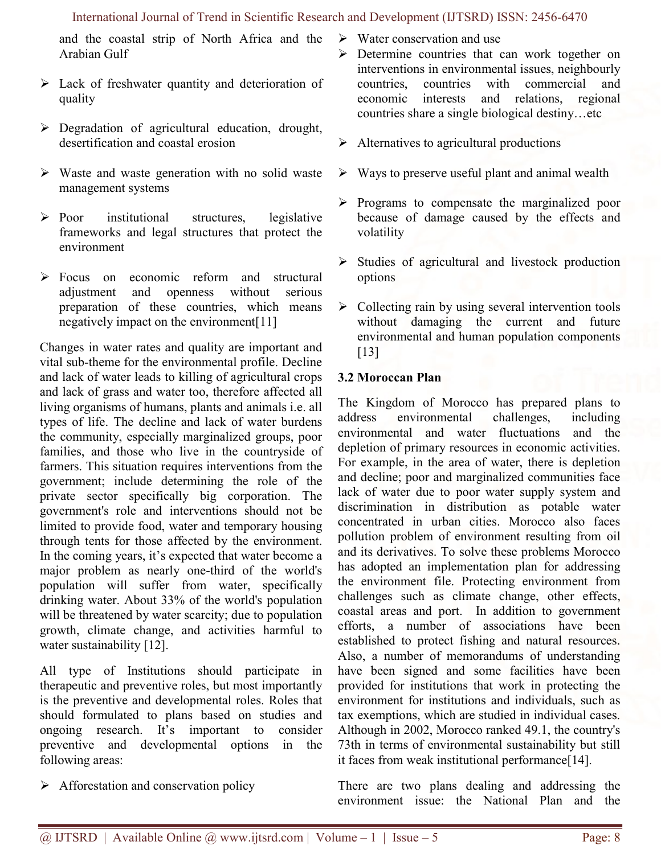and the coastal strip of North Africa and the Arabian Gulf

- Lack of freshwater quantity and deterioration of quality
- $\triangleright$  Degradation of agricultural education, drought, desertification and coastal erosion
- $\triangleright$  Waste and waste generation with no solid waste management systems
- $\triangleright$  Poor institutional structures, legislative frameworks and legal structures that protect the environment
- $\triangleright$  Focus on economic reform and structural adjustment and openness without serious preparation of these countries, which means negatively impact on the environment[11]

Changes in water rates and quality are important and vital sub-theme for the environmental profile. Decline and lack of water leads to killing of agricultural crops and lack of grass and water too, therefore affected all living organisms of humans, plants and animals i.e. all types of life. The decline and lack of water burdens the community, especially marginalized groups, poor families, and those who live in the countryside of farmers. This situation requires interventions from the government; include determining the role of the private sector specifically big corporation. The government's role and interventions should not be limited to provide food, water and temporary housing through tents for those affected by the environment. In the coming years, it's expected that water become a major problem as nearly one-third of the world's population will suffer from water, specifically drinking water. About 33% of the world's population will be threatened by water scarcity; due to population growth, climate change, and activities harmful to water sustainability [12].

All type of Institutions should participate in therapeutic and preventive roles, but most importantly is the preventive and developmental roles. Roles that should formulated to plans based on studies and ongoing research. It's important to consider preventive and developmental options in the following areas:

 $\triangleright$  Afforestation and conservation policy

- $\triangleright$  Water conservation and use
- Determine countries that can work together on interventions in environmental issues, neighbourly countries, countries with commercial and economic interests and relations, regional countries share a single biological destiny…etc
- $\triangleright$  Alternatives to agricultural productions
- $\triangleright$  Ways to preserve useful plant and animal wealth
- $\triangleright$  Programs to compensate the marginalized poor because of damage caused by the effects and volatility
- $\triangleright$  Studies of agricultural and livestock production options
- $\triangleright$  Collecting rain by using several intervention tools without damaging the current and future environmental and human population components [13]

#### 3.2 Moroccan Plan

The Kingdom of Morocco has prepared plans to address environmental challenges, including environmental and water fluctuations and the depletion of primary resources in economic activities. For example, in the area of water, there is depletion and decline; poor and marginalized communities face lack of water due to poor water supply system and discrimination in distribution as potable water concentrated in urban cities. Morocco also faces pollution problem of environment resulting from oil and its derivatives. To solve these problems Morocco has adopted an implementation plan for addressing the environment file. Protecting environment from challenges such as climate change, other effects, coastal areas and port. In addition to government efforts, a number of associations have been established to protect fishing and natural resources. Also, a number of memorandums of understanding have been signed and some facilities have been provided for institutions that work in protecting the environment for institutions and individuals, such as tax exemptions, which are studied in individual cases. Although in 2002, Morocco ranked 49.1, the country's 73th in terms of environmental sustainability but still it faces from weak institutional performance[14].

There are two plans dealing and addressing the environment issue: the National Plan and the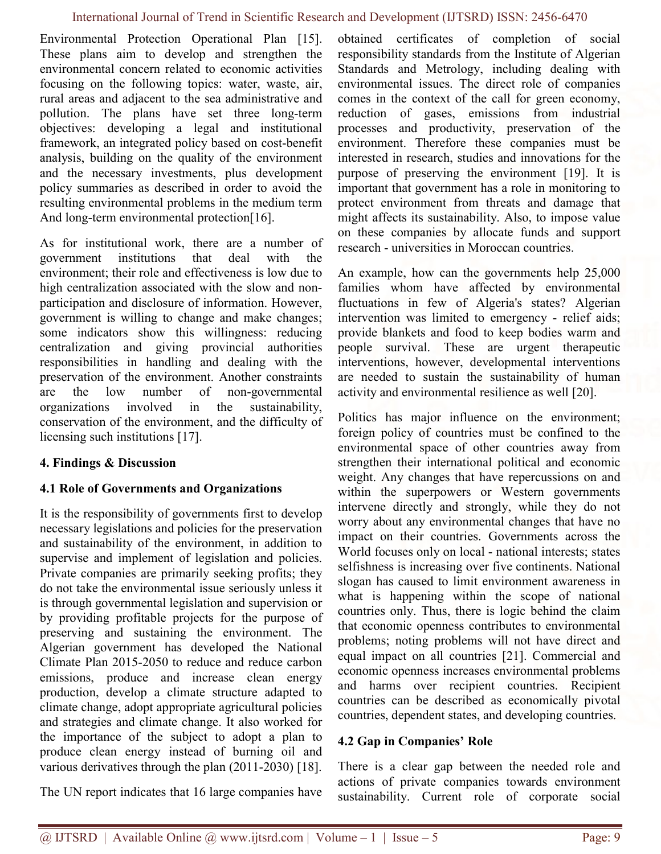Environmental Protection Operational Plan [15]. These plans aim to develop and strengthen the environmental concern related to economic activities focusing on the following topics: water, waste, air, rural areas and adjacent to the sea administrative and pollution. The plans have set three long-term objectives: developing a legal and institutional framework, an integrated policy based on cost-benefit analysis, building on the quality of the environment and the necessary investments, plus development policy summaries as described in order to avoid the resulting environmental problems in the medium term And long-term environmental protection[16].

As for institutional work, there are a number of government institutions that deal with the environment; their role and effectiveness is low due to high centralization associated with the slow and nonparticipation and disclosure of information. However, government is willing to change and make changes; some indicators show this willingness: reducing centralization and giving provincial authorities responsibilities in handling and dealing with the preservation of the environment. Another constraints are the low number of non-governmental organizations involved in the sustainability, conservation of the environment, and the difficulty of licensing such institutions [17].

#### 4. Findings & Discussion

#### 4.1 Role of Governments and Organizations

It is the responsibility of governments first to develop necessary legislations and policies for the preservation and sustainability of the environment, in addition to supervise and implement of legislation and policies. Private companies are primarily seeking profits; they do not take the environmental issue seriously unless it is through governmental legislation and supervision or by providing profitable projects for the purpose of preserving and sustaining the environment. The Algerian government has developed the National Climate Plan 2015-2050 to reduce and reduce carbon emissions, produce and increase clean energy production, develop a climate structure adapted to climate change, adopt appropriate agricultural policies and strategies and climate change. It also worked for the importance of the subject to adopt a plan to produce clean energy instead of burning oil and various derivatives through the plan (2011-2030) [18].

The UN report indicates that 16 large companies have

obtained certificates of completion of social responsibility standards from the Institute of Algerian Standards and Metrology, including dealing with environmental issues. The direct role of companies comes in the context of the call for green economy, reduction of gases, emissions from industrial processes and productivity, preservation of the environment. Therefore these companies must be interested in research, studies and innovations for the purpose of preserving the environment [19]. It is important that government has a role in monitoring to protect environment from threats and damage that might affects its sustainability. Also, to impose value on these companies by allocate funds and support research - universities in Moroccan countries.

An example, how can the governments help 25,000 families whom have affected by environmental fluctuations in few of Algeria's states? Algerian intervention was limited to emergency - relief aids; provide blankets and food to keep bodies warm and people survival. These are urgent therapeutic interventions, however, developmental interventions are needed to sustain the sustainability of human activity and environmental resilience as well [20].

Politics has major influence on the environment; foreign policy of countries must be confined to the environmental space of other countries away from strengthen their international political and economic weight. Any changes that have repercussions on and within the superpowers or Western governments intervene directly and strongly, while they do not worry about any environmental changes that have no impact on their countries. Governments across the World focuses only on local - national interests; states selfishness is increasing over five continents. National slogan has caused to limit environment awareness in what is happening within the scope of national countries only. Thus, there is logic behind the claim that economic openness contributes to environmental problems; noting problems will not have direct and equal impact on all countries [21]. Commercial and economic openness increases environmental problems and harms over recipient countries. Recipient countries can be described as economically pivotal countries, dependent states, and developing countries.

#### 4.2 Gap in Companies' Role

There is a clear gap between the needed role and actions of private companies towards environment sustainability. Current role of corporate social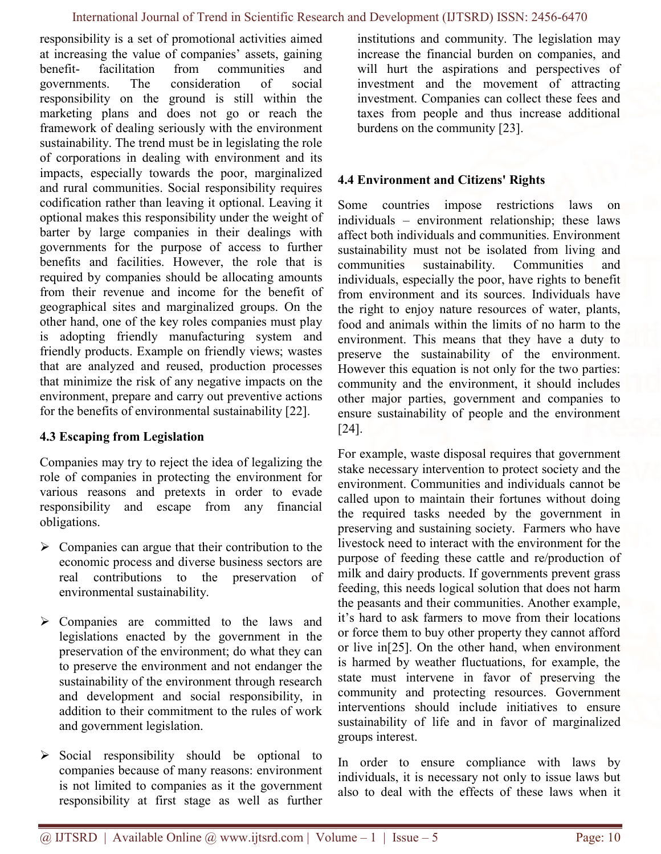responsibility is a set of promotional activities aimed at increasing the value of companies' assets, gaining benefit- facilitation from communities and governments. The consideration of social responsibility on the ground is still within the marketing plans and does not go or reach the framework of dealing seriously with the environment sustainability. The trend must be in legislating the role of corporations in dealing with environment and its impacts, especially towards the poor, marginalized and rural communities. Social responsibility requires codification rather than leaving it optional. Leaving it optional makes this responsibility under the weight of barter by large companies in their dealings with governments for the purpose of access to further benefits and facilities. However, the role that is required by companies should be allocating amounts from their revenue and income for the benefit of geographical sites and marginalized groups. On the other hand, one of the key roles companies must play is adopting friendly manufacturing system and friendly products. Example on friendly views; wastes that are analyzed and reused, production processes that minimize the risk of any negative impacts on the environment, prepare and carry out preventive actions for the benefits of environmental sustainability [22].

#### 4.3 Escaping from Legislation

Companies may try to reject the idea of legalizing the role of companies in protecting the environment for various reasons and pretexts in order to evade responsibility and escape from any financial obligations.

- $\triangleright$  Companies can argue that their contribution to the economic process and diverse business sectors are real contributions to the preservation of environmental sustainability.
- Companies are committed to the laws and legislations enacted by the government in the preservation of the environment; do what they can to preserve the environment and not endanger the sustainability of the environment through research and development and social responsibility, in addition to their commitment to the rules of work and government legislation.
- $\triangleright$  Social responsibility should be optional to companies because of many reasons: environment is not limited to companies as it the government responsibility at first stage as well as further

institutions and community. The legislation may increase the financial burden on companies, and will hurt the aspirations and perspectives of investment and the movement of attracting investment. Companies can collect these fees and taxes from people and thus increase additional burdens on the community [23].

#### 4.4 Environment and Citizens' Rights

Some countries impose restrictions laws on individuals – environment relationship; these laws affect both individuals and communities. Environment sustainability must not be isolated from living and communities sustainability. Communities and individuals, especially the poor, have rights to benefit from environment and its sources. Individuals have the right to enjoy nature resources of water, plants, food and animals within the limits of no harm to the environment. This means that they have a duty to preserve the sustainability of the environment. However this equation is not only for the two parties: community and the environment, it should includes other major parties, government and companies to ensure sustainability of people and the environment [24].

For example, waste disposal requires that government stake necessary intervention to protect society and the environment. Communities and individuals cannot be called upon to maintain their fortunes without doing the required tasks needed by the government in preserving and sustaining society. Farmers who have livestock need to interact with the environment for the purpose of feeding these cattle and re/production of milk and dairy products. If governments prevent grass feeding, this needs logical solution that does not harm the peasants and their communities. Another example, it's hard to ask farmers to move from their locations or force them to buy other property they cannot afford or live in[25]. On the other hand, when environment is harmed by weather fluctuations, for example, the state must intervene in favor of preserving the community and protecting resources. Government interventions should include initiatives to ensure sustainability of life and in favor of marginalized groups interest.

In order to ensure compliance with laws by individuals, it is necessary not only to issue laws but also to deal with the effects of these laws when it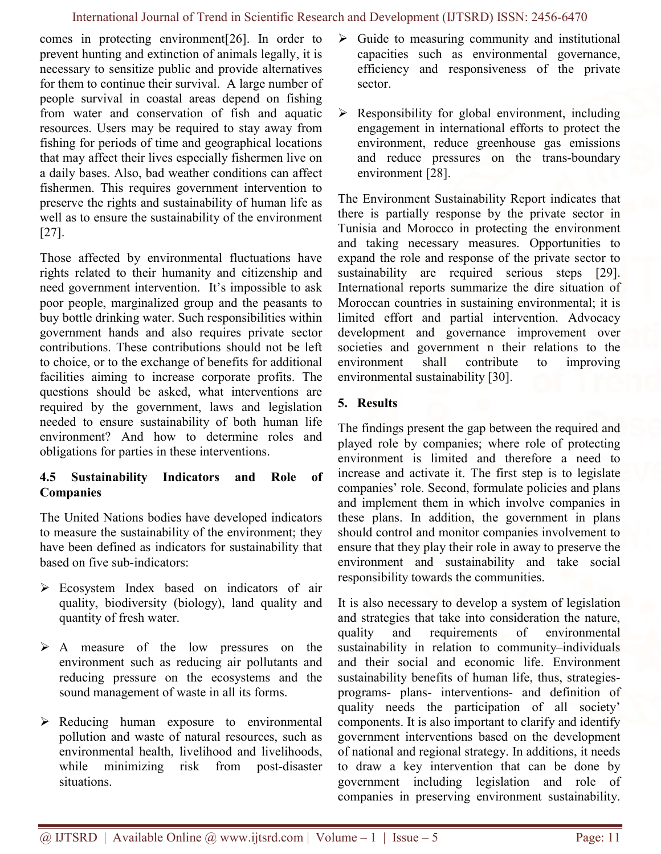comes in protecting environment[26]. In order to prevent hunting and extinction of animals legally, it is necessary to sensitize public and provide alternatives for them to continue their survival. A large number of people survival in coastal areas depend on fishing from water and conservation of fish and aquatic resources. Users may be required to stay away from fishing for periods of time and geographical locations that may affect their lives especially fishermen live on a daily bases. Also, bad weather conditions can affect fishermen. This requires government intervention to preserve the rights and sustainability of human life as well as to ensure the sustainability of the environment [27].

Those affected by environmental fluctuations have rights related to their humanity and citizenship and need government intervention. It's impossible to ask poor people, marginalized group and the peasants to buy bottle drinking water. Such responsibilities within government hands and also requires private sector contributions. These contributions should not be left to choice, or to the exchange of benefits for additional facilities aiming to increase corporate profits. The questions should be asked, what interventions are required by the government, laws and legislation needed to ensure sustainability of both human life environment? And how to determine roles and obligations for parties in these interventions.

### 4.5 Sustainability Indicators and Role of Companies

The United Nations bodies have developed indicators to measure the sustainability of the environment; they have been defined as indicators for sustainability that based on five sub-indicators:

- Ecosystem Index based on indicators of air quality, biodiversity (biology), land quality and quantity of fresh water.
- A measure of the low pressures on the environment such as reducing air pollutants and reducing pressure on the ecosystems and the sound management of waste in all its forms.
- Reducing human exposure to environmental pollution and waste of natural resources, such as environmental health, livelihood and livelihoods, while minimizing risk from post-disaster situations.
- $\triangleright$  Guide to measuring community and institutional capacities such as environmental governance, efficiency and responsiveness of the private sector.
- $\triangleright$  Responsibility for global environment, including engagement in international efforts to protect the environment, reduce greenhouse gas emissions and reduce pressures on the trans-boundary environment [28].

The Environment Sustainability Report indicates that there is partially response by the private sector in Tunisia and Morocco in protecting the environment and taking necessary measures. Opportunities to expand the role and response of the private sector to sustainability are required serious steps [29]. International reports summarize the dire situation of Moroccan countries in sustaining environmental; it is limited effort and partial intervention. Advocacy development and governance improvement over societies and government n their relations to the environment shall contribute to improving environmental sustainability [30].

### 5. Results

The findings present the gap between the required and played role by companies; where role of protecting environment is limited and therefore a need to increase and activate it. The first step is to legislate companies' role. Second, formulate policies and plans and implement them in which involve companies in these plans. In addition, the government in plans should control and monitor companies involvement to ensure that they play their role in away to preserve the environment and sustainability and take social responsibility towards the communities.

It is also necessary to develop a system of legislation and strategies that take into consideration the nature, quality and requirements of environmental sustainability in relation to community–individuals and their social and economic life. Environment sustainability benefits of human life, thus, strategiesprograms- plans- interventions- and definition of quality needs the participation of all society' components. It is also important to clarify and identify government interventions based on the development of national and regional strategy. In additions, it needs to draw a key intervention that can be done by government including legislation and role of companies in preserving environment sustainability.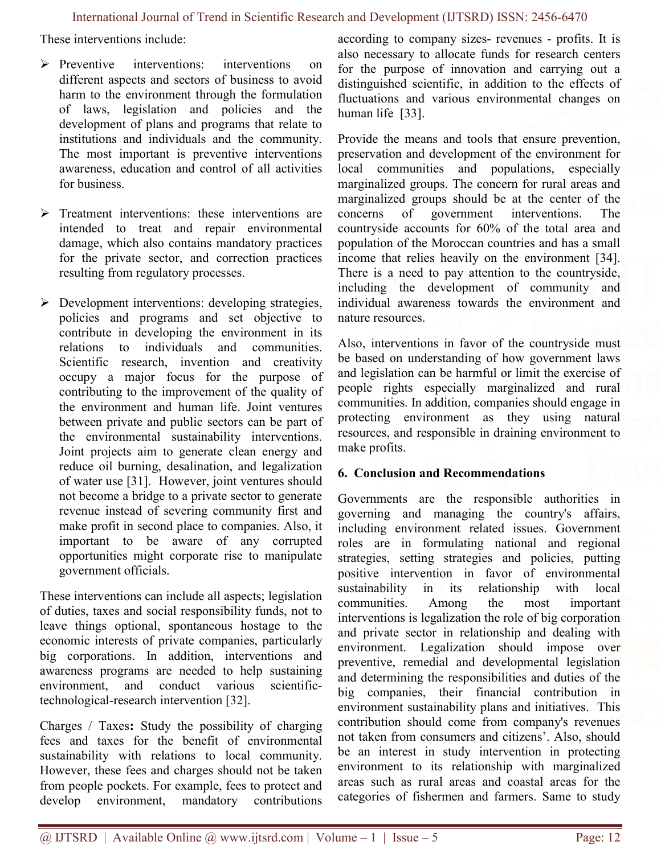These interventions include:

- $\triangleright$  Preventive interventions: interventions on different aspects and sectors of business to avoid harm to the environment through the formulation of laws, legislation and policies and the development of plans and programs that relate to institutions and individuals and the community. The most important is preventive interventions awareness, education and control of all activities for business.
- $\triangleright$  Treatment interventions: these interventions are intended to treat and repair environmental damage, which also contains mandatory practices for the private sector, and correction practices resulting from regulatory processes.
- $\triangleright$  Development interventions: developing strategies, policies and programs and set objective to contribute in developing the environment in its relations to individuals and communities. Scientific research, invention and creativity occupy a major focus for the purpose of contributing to the improvement of the quality of the environment and human life. Joint ventures between private and public sectors can be part of the environmental sustainability interventions. Joint projects aim to generate clean energy and reduce oil burning, desalination, and legalization of water use [31]. However, joint ventures should not become a bridge to a private sector to generate revenue instead of severing community first and make profit in second place to companies. Also, it important to be aware of any corrupted opportunities might corporate rise to manipulate government officials.

These interventions can include all aspects; legislation of duties, taxes and social responsibility funds, not to leave things optional, spontaneous hostage to the economic interests of private companies, particularly big corporations. In addition, interventions and awareness programs are needed to help sustaining environment, and conduct various scientifictechnological-research intervention [32].

Charges / Taxes: Study the possibility of charging fees and taxes for the benefit of environmental sustainability with relations to local community. However, these fees and charges should not be taken from people pockets. For example, fees to protect and develop environment, mandatory contributions according to company sizes- revenues - profits. It is also necessary to allocate funds for research centers for the purpose of innovation and carrying out a distinguished scientific, in addition to the effects of fluctuations and various environmental changes on human life [33].

Provide the means and tools that ensure prevention, preservation and development of the environment for local communities and populations, especially marginalized groups. The concern for rural areas and marginalized groups should be at the center of the concerns of government interventions. The countryside accounts for 60% of the total area and population of the Moroccan countries and has a small income that relies heavily on the environment [34]. There is a need to pay attention to the countryside, including the development of community and individual awareness towards the environment and nature resources.

Also, interventions in favor of the countryside must be based on understanding of how government laws and legislation can be harmful or limit the exercise of people rights especially marginalized and rural communities. In addition, companies should engage in protecting environment as they using natural resources, and responsible in draining environment to make profits.

#### 6. Conclusion and Recommendations

Governments are the responsible authorities in governing and managing the country's affairs, including environment related issues. Government roles are in formulating national and regional strategies, setting strategies and policies, putting positive intervention in favor of environmental sustainability in its relationship with local communities. Among the most important interventions is legalization the role of big corporation and private sector in relationship and dealing with environment. Legalization should impose over preventive, remedial and developmental legislation and determining the responsibilities and duties of the big companies, their financial contribution in environment sustainability plans and initiatives. This contribution should come from company's revenues not taken from consumers and citizens'. Also, should be an interest in study intervention in protecting environment to its relationship with marginalized areas such as rural areas and coastal areas for the categories of fishermen and farmers. Same to study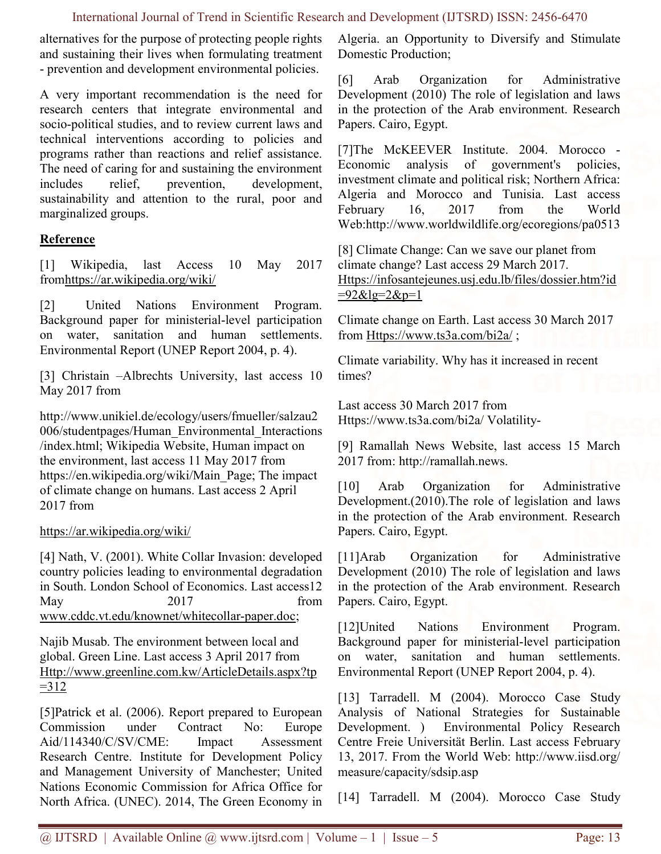alternatives for the purpose of protecting people rights and sustaining their lives when formulating treatment - prevention and development environmental policies.

A very important recommendation is the need for research centers that integrate environmental and socio-political studies, and to review current laws and technical interventions according to policies and programs rather than reactions and relief assistance. The need of caring for and sustaining the environment includes relief, prevention, development, sustainability and attention to the rural, poor and marginalized groups.

#### Reference

[1] Wikipedia, last Access 10 May 2017 fromhttps://ar.wikipedia.org/wiki/

[2] United Nations Environment Program. Background paper for ministerial-level participation on water, sanitation and human settlements. Environmental Report (UNEP Report 2004, p. 4).

[3] Christain –Albrechts University, last access 10 May 2017 from

http://www.unikiel.de/ecology/users/fmueller/salzau2 006/studentpages/Human\_Environmental\_Interactions /index.html; Wikipedia Website, Human impact on the environment, last access 11 May 2017 from https://en.wikipedia.org/wiki/Main\_Page; The impact of climate change on humans. Last access 2 April 2017 from

https://ar.wikipedia.org/wiki/

[4] Nath, V. (2001). White Collar Invasion: developed country policies leading to environmental degradation in South. London School of Economics. Last access12 May 2017 from www.cddc.vt.edu/knownet/whitecollar-paper.doc;

Najib Musab. The environment between local and global. Green Line. Last access 3 April 2017 from Http://www.greenline.com.kw/ArticleDetails.aspx?tp  $=312$ 

[5]Patrick et al. (2006). Report prepared to European Commission under Contract No: Europe Aid/114340/C/SV/CME: Impact Assessment Research Centre. Institute for Development Policy and Management University of Manchester; United Nations Economic Commission for Africa Office for North Africa. (UNEC). 2014, The Green Economy in

Algeria. an Opportunity to Diversify and Stimulate Domestic Production;

[6] Arab Organization for Administrative Development (2010) The role of legislation and laws in the protection of the Arab environment. Research Papers. Cairo, Egypt.

[7]The McKEEVER Institute. 2004. Morocco - Economic analysis of government's policies, investment climate and political risk; Northern Africa: Algeria and Morocco and Tunisia. Last access February 16, 2017 from the World Web:http://www.worldwildlife.org/ecoregions/pa0513

[8] Climate Change: Can we save our planet from climate change? Last access 29 March 2017. Https://infosantejeunes.usj.edu.lb/files/dossier.htm?id  $=92$ &lg=2&p=1

Climate change on Earth. Last access 30 March 2017 from Https://www.ts3a.com/bi2a/ ;

Climate variability. Why has it increased in recent times?

Last access 30 March 2017 from Https://www.ts3a.com/bi2a/ Volatility-

[9] Ramallah News Website, last access 15 March 2017 from: http://ramallah.news.

[10] Arab Organization for Administrative Development.(2010).The role of legislation and laws in the protection of the Arab environment. Research Papers. Cairo, Egypt.

[11]Arab Organization for Administrative Development (2010) The role of legislation and laws in the protection of the Arab environment. Research Papers. Cairo, Egypt.

[12]United Nations Environment Program. Background paper for ministerial-level participation on water, sanitation and human settlements. Environmental Report (UNEP Report 2004, p. 4).

[13] Tarradell. M (2004). Morocco Case Study Analysis of National Strategies for Sustainable Development. ) Environmental Policy Research Centre Freie Universität Berlin. Last access February 13, 2017. From the World Web: http://www.iisd.org/ measure/capacity/sdsip.asp

[14] Tarradell. M (2004). Morocco Case Study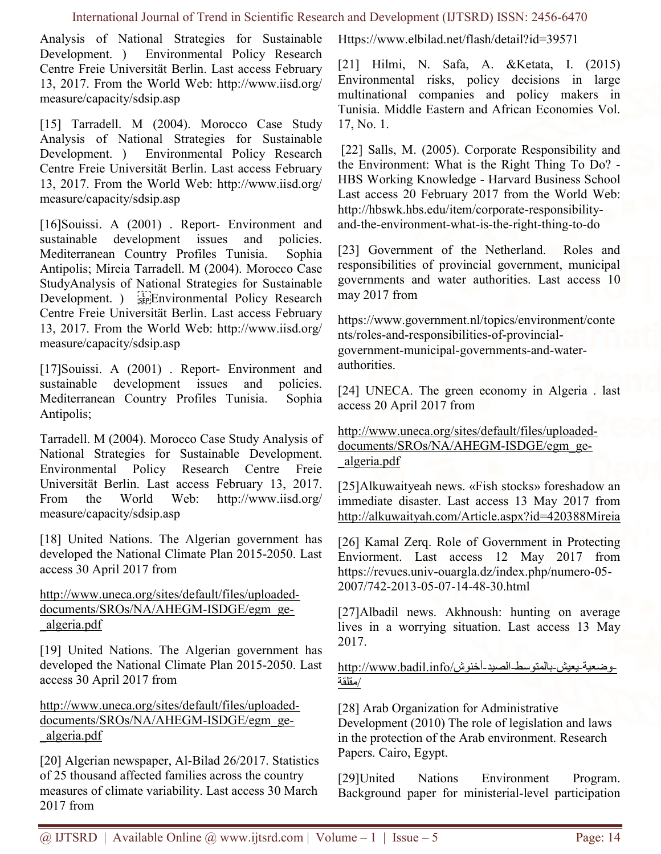Analysis of National Strategies for Sustainable Development. ) Environmental Policy Research Centre Freie Universität Berlin. Last access February 13, 2017. From the World Web: http://www.iisd.org/ measure/capacity/sdsip.asp

[15] Tarradell. M (2004). Morocco Case Study Analysis of National Strategies for Sustainable Development. ) Environmental Policy Research Centre Freie Universität Berlin. Last access February 13, 2017. From the World Web: http://www.iisd.org/ measure/capacity/sdsip.asp

[16]Souissi. A (2001) . Report- Environment and sustainable development issues and policies. Mediterranean Country Profiles Tunisia. Sophia Antipolis; Mireia Tarradell. M (2004). Morocco Case StudyAnalysis of National Strategies for Sustainable Development. ) <sup>[17]</sup>Environmental Policy Research Centre Freie Universität Berlin. Last access February 13, 2017. From the World Web: http://www.iisd.org/ measure/capacity/sdsip.asp

[17]Souissi. A (2001) . Report- Environment and sustainable development issues and policies. Mediterranean Country Profiles Tunisia. Sophia Antipolis;

Tarradell. M (2004). Morocco Case Study Analysis of National Strategies for Sustainable Development. Environmental Policy Research Centre Freie Universität Berlin. Last access February 13, 2017. From the World Web: http://www.iisd.org/ measure/capacity/sdsip.asp

[18] United Nations. The Algerian government has developed the National Climate Plan 2015-2050. Last access 30 April 2017 from

#### http://www.uneca.org/sites/default/files/uploadeddocuments/SROs/NA/AHEGM-ISDGE/egm\_ge- \_algeria.pdf

[19] United Nations. The Algerian government has developed the National Climate Plan 2015-2050. Last access 30 April 2017 from

http://www.uneca.org/sites/default/files/uploadeddocuments/SROs/NA/AHEGM-ISDGE/egm\_ge- \_algeria.pdf

[20] Algerian newspaper, Al-Bilad 26/2017. Statistics of 25 thousand affected families across the country measures of climate variability. Last access 30 March 2017 from

Https://www.elbilad.net/flash/detail?id=39571

[21] Hilmi, N. Safa, A. &Ketata, I. (2015) Environmental risks, policy decisions in large multinational companies and policy makers in Tunisia. Middle Eastern and African Economies Vol. 17, No. 1.

[22] Salls, M. (2005). Corporate Responsibility and the Environment: What is the Right Thing To Do? - HBS Working Knowledge - Harvard Business School Last access 20 February 2017 from the World Web: http://hbswk.hbs.edu/item/corporate-responsibilityand-the-environment-what-is-the-right-thing-to-do

[23] Government of the Netherland. Roles and responsibilities of provincial government, municipal governments and water authorities. Last access 10 may 2017 from

https://www.government.nl/topics/environment/conte nts/roles-and-responsibilities-of-provincialgovernment-municipal-governments-and-waterauthorities.

[24] UNECA. The green economy in Algeria. last access 20 April 2017 from

http://www.uneca.org/sites/default/files/uploadeddocuments/SROs/NA/AHEGM-ISDGE/egm\_ge- \_algeria.pdf

[25]Alkuwaityeah news. «Fish stocks» foreshadow an immediate disaster. Last access 13 May 2017 from http://alkuwaityah.com/Article.aspx?id=420388Mireia

[26] Kamal Zerq. Role of Government in Protecting Enviorment. Last access 12 May 2017 from https://revues.univ-ouargla.dz/index.php/numero-05- 2007/742-2013-05-07-14-48-30.html

[27]Albadil news. Akhnoush: hunting on average lives in a worrying situation. Last access 13 May 2017.

# -وضعية-يعيش-بالمتوسط-الصيد-أخنوش/http://www.badil.info<br>/مظلقة

[28] Arab Organization for Administrative Development (2010) The role of legislation and laws in the protection of the Arab environment. Research Papers. Cairo, Egypt.

[29]United Nations Environment Program. Background paper for ministerial-level participation